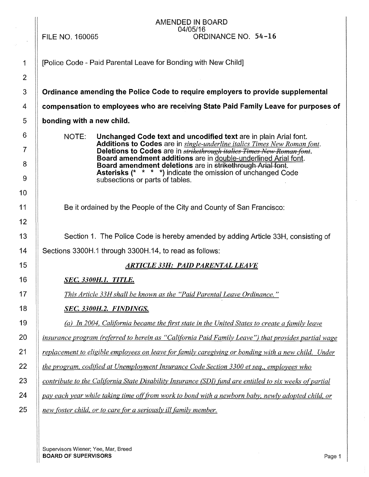|                | AMENDED IN BOARD<br>04/05/16                                                                                                                          |
|----------------|-------------------------------------------------------------------------------------------------------------------------------------------------------|
|                | ORDINANCE NO. 54-16<br><b>FILE NO. 160065</b>                                                                                                         |
| $\mathbf 1$    | [Police Code - Paid Parental Leave for Bonding with New Child]                                                                                        |
| $\overline{2}$ |                                                                                                                                                       |
| 3              | Ordinance amending the Police Code to require employers to provide supplemental                                                                       |
| 4              | compensation to employees who are receiving State Paid Family Leave for purposes of                                                                   |
| 5              | bonding with a new child.                                                                                                                             |
| 6              | NOTE:<br>Unchanged Code text and uncodified text are in plain Arial font.<br>Additions to Codes are in single-underline italics Times New Roman font. |
| $\overline{7}$ | Deletions to Codes are in strikethrough italies Times New Roman font.<br>Board amendment additions are in double-underlined Arial font.               |
| 8              | Board amendment deletions are in strikethrough Arial font.<br><b>Asterisks (* * * *)</b> indicate the omission of unchanged Code                      |
| 9              | subsections or parts of tables.                                                                                                                       |
| 10             |                                                                                                                                                       |
| 11             | Be it ordained by the People of the City and County of San Francisco:                                                                                 |
| 12             |                                                                                                                                                       |
| 13             | Section 1. The Police Code is hereby amended by adding Article 33H, consisting of                                                                     |
| 14             | Sections 3300H.1 through 3300H.14, to read as follows:                                                                                                |
| 15             | <b>ARTICLE 33H: PAID PARENTAL LEAVE</b>                                                                                                               |
| 16             | <b>SEC. 3300H.1. TITLE.</b>                                                                                                                           |
| 17             | This Article 33H shall be known as the "Paid Parental Leave Ordinance."                                                                               |
| 18             | SEC. 3300H.2. FINDINGS.                                                                                                                               |
| 19             | (a) In 2004, California became the first state in the United States to create a family leave                                                          |
| 20             | insurance program (referred to herein as "California Paid Family Leave") that provides partial wage                                                   |
| 21             | replacement to eligible employees on leave for family caregiving or bonding with a new child. Under                                                   |
| 22             | the program, codified at Unemployment Insurance Code Section 3300 et seq., employees who                                                              |
| 23             | contribute to the California State Disability Insurance (SDI) fund are entitled to six weeks of partial                                               |
| 24             | pay each year while taking time off from work to bond with a newborn baby, newly adopted child, or                                                    |
| 25             | new foster child, or to care for a seriously ill family member.                                                                                       |

Supervisors Wiener; Yee, Mar, Breed BOARD OF SUPERVISORS Page 1  $\bar{1}$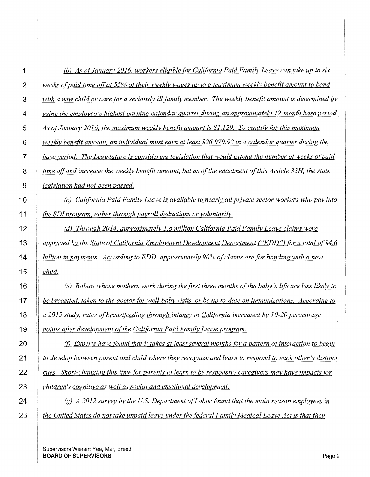| 1                       | (b) As of January 2016, workers eligible for California Paid Family Leave can take up to six            |
|-------------------------|---------------------------------------------------------------------------------------------------------|
| $\overline{2}$          | weeks of paid time off at 55% of their weekly wages up to a maximum weekly benefit amount to bond       |
| 3                       | with a new child or care for a seriously ill family member. The weekly benefit amount is determined by  |
| $\overline{\mathbf{4}}$ | using the employee's highest-earning calendar quarter during an approximately 12-month base period.     |
| 5                       | As of January 2016, the maximum weekly benefit amount is \$1,129. To qualify for this maximum           |
| $\,6$                   | weekly benefit amount, an individual must earn at least \$26,070.92 in a calendar quarter during the    |
| $\overline{7}$          | base period. The Legislature is considering legislation that would extend the number of weeks of paid   |
| 8                       | time off and increase the weekly benefit amount, but as of the enactment of this Article 33H, the state |
| $\boldsymbol{9}$        | <i>legislation had not been passed.</i>                                                                 |
| 10                      | (c) California Paid Family Leave is available to nearly all private sector workers who pay into         |
| 11                      | the SDI program, either through payroll deductions or voluntarily.                                      |
| 12                      | (d) Through 2014, approximately 1.8 million California Paid Family Leave claims were                    |
| 13                      | approved by the State of California Employment Development Department ("EDD") for a total of \$4.6      |
| 14                      | billion in payments. According to EDD, approximately 90% of claims are for bonding with a new           |
| 15                      | child.                                                                                                  |
| 16                      | (e) Babies whose mothers work during the first three months of the baby's life are less likely to       |
| 17                      | be breastfed, taken to the doctor for well-baby visits, or be up to-date on immunizations. According to |
| 18                      | a 2015 study, rates of breastfeeding through infancy in California increased by 10-20 percentage        |
| 19                      | points after development of the California Paid Family Leave program.                                   |
| 20                      | Experts have found that it takes at least several months for a pattern of interaction to begin          |
| 21                      | to develop between parent and child where they recognize and learn to respond to each other's distinct  |
| 22                      | cues. Short-changing this time for parents to learn to be responsive caregivers may have impacts for    |
| 23                      | children's cognitive as well as social and emotional development.                                       |
| 24                      | (g) A 2012 survey by the U.S. Department of Labor found that the main reason employees in               |
| 25                      | the United States do not take unpaid leave under the federal Family Medical Leave Act is that they      |

Supervisors Wiener; Yee, Mar, Breed **BOARD OF SUPERVISORS** Page 2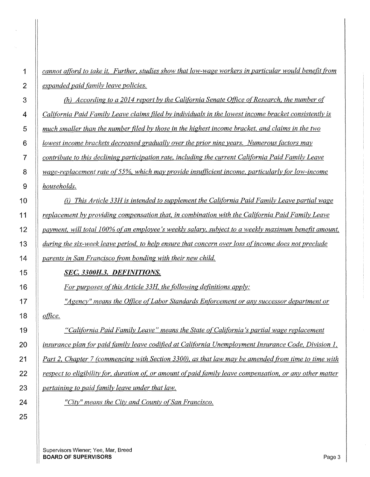*cannot afford to take it. Further, studies show that low-wage workers in particular would benefit from expanded paid family leave policies.* 

**(a)** According to a 2014 report by the California Senate Office of Research, the number of *California Paid Family Leave claims filed by individuals in the lowest income bracket consistently is much smaller than the number filed by those in the highest income bracket, and claims in the two lowest income brackets decreased gradually over the prior nine years. Numerous factors may contribute to this declining participation rate, including the current California Paid Family Leave wage-replacement rate of 55%, which may provide insufficient income, particularly for low-income households.* 

(i) *This Article 33H is intended to supplement the California Paid Family Leave partial wage replacement by providing compensation that, in combination with the California Paid Family Leave payment. will total 100% of an employee's weekly salary. subject to a weekly maximum benefit amount. during the six-week leave period, to help ensure that concern over loss ofincome does not preclude parents in San Francisco from bonding with their new child.* 

### *SEC. 3300H.3. DEFINITIONS.*

*For purposes of this Article 33H, the following definitions apply:* 

*''Agency" means the Office of Labor Standards Enforcement or any successor department or* 

office.

*"California Paid Family Leave" means the State of California's partial wage replacement iinsurance plan for paid family leave codified at California Unemployment Insurance Code, Division 1. Part 2. Chapter 7 (commencing with Section 3300), as that law may be amended from time to time with ignostrapier is eligibility for, duration of, or amount of paid family leave compensation, or any other matter pertaining to paid family leave under that law.* 

*"City" means the City and County of San Francisco.*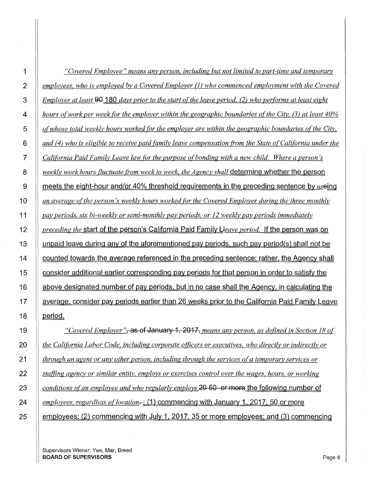| 1              | "Covered Employee" means any person, including but not limited to part-time and temporary                |
|----------------|----------------------------------------------------------------------------------------------------------|
| $\overline{2}$ | employees, who is employed by a Covered Employer (1) who commenced employment with the Covered           |
| 3              | Employer at least 90_180_days prior to the start of the leave period, (2) who performs at least eight    |
| 4              | hours of work per week for the employer within the geographic boundaries of the City, (3) at least 40%   |
| 5              | of whose total weekly hours worked for the employer are within the geographic boundaries of the City,    |
| 6              | and (4) who is eligible to receive paid family leave compensation from the State of California under the |
| 7              | California Paid Family Leave law for the purpose of bonding with a new child. Where a person's           |
| 8              | weekly work hours fluctuate from week to week, the Agency shall determine whether the person             |
| 9              | meets the eight-hour and/or 40% threshold requirements in the preceding sentence by $us$ eing            |
| 10             | an average of the person's weekly hours worked for the Covered Employer during the three monthly         |
| 11             | pay periods, six bi-weekly or semi-monthly pay periods, or 12 weekly pay periods immediately             |
| 12             | preceding the start of the person's California Paid Family Lleave period. If the person was on           |
| 13             | unpaid leave during any of the aforementioned pay periods, such pay period(s) shall not be               |
| 14             | counted towards the average referenced in the preceding sentence; rather, the Agency shall               |
| 15             | consider additional earlier corresponding pay periods for that person in order to satisfy the            |
| 16             | above designated number of pay periods, but in no case shall the Agency, in calculating the              |
| 17             | average, consider pay periods earlier than 26 weeks prior to the California Paid Family Leave            |
| 18             | period.                                                                                                  |
| 19             | "Covered Employer"; as of January 1, 2017, means any person, as defined in Section 18 of                 |
| 20             | the California Labor Code, including corporate officers or executives, who directly or indirectly or     |
| 21             | through an agent or any other person, including through the services of a temporary services or          |
| 22             | staffing agency or similar entity, employs or exercises control over the wages, hours, or working        |
|                |                                                                                                          |

*conditions of an employee and who regularly employs* 20 50 or more the following number of *employees, regardless of location*-: (1) commencing with January 1, 2017, 50 or more

**employees: (2) commencing with July 1, 2017, 35 or more employees; and (3) commencing** 

Supervisors Wiener; Yee, Mar, Breed BOARD OF SUPERVISORS **Page 4**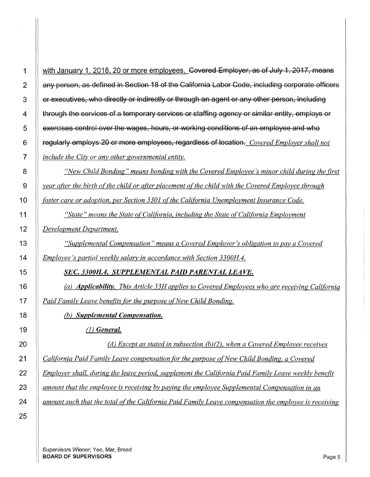| $\overline{2}$  | any person, as defined in Section 18 of the California Labor Code, including corporate officers      |
|-----------------|------------------------------------------------------------------------------------------------------|
| 3               | or executives, who directly or indirectly or through an agent or any other person, including         |
| 4               | through the services of a temporary services or staffing agency or similar entity, employs or        |
| 5               | exercises control over the wages, hours, or working conditions of an employee and who                |
| 6               | regularly employs 20 or more employees, regardless of location. Covered Employer shall not           |
| $\overline{7}$  | include the City or any other governmental entity.                                                   |
| 8               | "New Child Bonding" means bonding with the Covered Employee's minor child during the first           |
| $9\,$           | year after the birth of the child or after placement of the child with the Covered Employee through  |
| 10              | foster care or adoption, per Section 3301 of the California Unemployment Insurance Code.             |
| 11              | "State" means the State of California, including the State of California Employment                  |
| 12 <sub>2</sub> | Development Department.                                                                              |
| 13              | "Supplemental Compensation" means a Covered Employer's obligation to pay a Covered                   |
| 14              | Employee's partial weekly salary in accordance with Section 3300H.4.                                 |
| 15              | SEC. 3300H.4. SUPPLEMENTAL PAID PARENTAL LEAVE.                                                      |
| 16              | (a) <b>Applicability.</b> This Article 33H applies to Covered Employees who are receiving California |
| 17              | Paid Family Leave benefits for the purpose of New Child Bonding.                                     |
| 18              | (b) Supplemental Compensation.                                                                       |
| 19              | $(1)$ General.                                                                                       |
| 20              | (A) Except as stated in subsection (b)(2), when a Covered Employee receives                          |
| 21              | California Paid Family Leave compensation for the purpose of New Child Bonding, a Covered            |
| 22              | Employer shall, during the leave period, supplement the California Paid Family Leave weekly benefit  |
| 23              | amount that the employee is receiving by paying the employee Supplemental Compensation in an         |

*amount such that the total of the California Paid Family Leave compensation the employee is receiving* 

Supervisors Wiener; Yee, Mar, Breed BOARD OF SUPERVISORS **Page 5**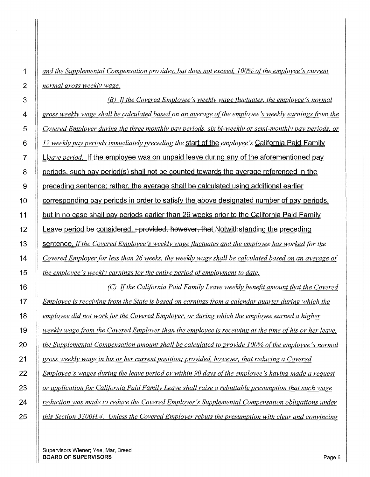*and the Supplemental Compensation provides, but does not exceed, 100% ofthe employee's current normal gross weekly wage.* 

*(B) Jfthe Covered Employee's weekly wage fluctuates, the employee's normal gross weekly wage shall be calculated based on an average of the employee's weekly earnings from the Covered Employer during the three monthly pay periods, six bi-weekly or semi-monthly pay periods, or 12 weekly pay periods immediately preceding the* start of the *employee's* California Paid Family **J** Lleave period. If the employee was on unpaid leave during any of the aforementioned pay **periods, such pay period(s) shall not be counted towards the average referenced in the**   $\parallel$  preceding sentence: rather, the average shall be calculated using additional earlier **Corresponding pay periods in order to satisfy the above designated number of pay periods.** 11 but in no case shall pay periods earlier than 26 weeks prior to the California Paid Family  $\parallel$  Leave period be considered.  $\div$  provided, however, that Notwithstanding the preceding 13 sentence. *ifthe Covered Employee's weekly wage fluctuates and the employee has worked tor the Covered Employer for less than 26 weeks, the weekly wage shall be calculated based on an average of the employee's weekly earnings for the entire period of employment to date. (C) Jfthe California Paid Family Leave weekly benefit amount that the Covered Employee is receiving from the State is based on earnings from a calendar quarter during which the employee did not work for the Covered Employer, or during which the employee earned a higher weekly wage from the Covered Employer than the employee is receiving at the time of his or her leave, the Supplemental Compensation amount shall be calculated to provide 100% of the employee's normal gross weekly wage in his or her current position: provided, however, that reducing a Covered Employee's wages during the leave period or within 90 days of the employee's having made a request or application for California Paid Family Leave shall raise a rebuttable presumption that such wage* 

*reduction was made to reduce the Covered Employer's Supplemental Compensation obligations under* 

*this Section 3300H.4. Unless the Covered Employer rebuts the presumption with clear and convincing*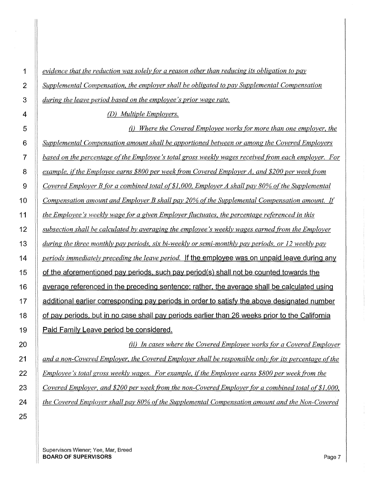*evidence that the reduction was solely (or a reason other than reducing its obligation to pay Supplemental Compensation, the employer shall be obligated to pay Supplemental Compensation during the leave period based on the employee's prior wage rate.* 

*(D) Multiple Employers.* 

(i) *Where the Covered Employee works (or more than one employer, the Supplemental Compensation amount shall be apportioned between or among the Covered Employers based on the percentage ofthe Employee's total gross weekly wages received from each employer. For example, ifthe Employee earns \$800 per week from Covered Employer A, and \$200 per week from Covered Employer B (or a combined total 0(\$1,000, Employer A shall pay 80% of the Supplemental Compensation amount and Employer B shall pay 20% ofthe Supplemental Compensation amount. If the Emplovee 's weekly wage (or a given Employer fluctuates, the percentage referenced in this subsection shall be calculated by averaging the employee's weekly wages earned from the Employer during the three monthlypay periods, six bi-weekly or semi-monthlypay periods, or 12 weeklypay periods immediately preceding the leave period.* **If the employee was on unpaid leave during any 15 of the aforementioned pay periods. such pay period(s) shall not be counted towards the 16 average referenced in the preceding sentence: rather. the average shall be calculated using 17 additional earlier corresponding pay periods in order to satisfy the above designated number 18 of pay periods. but in no case shall pay periods earlier than 26 weeks prior to the California 19 Paid Family Leave period be considered.** 

*(ii) In cases where the Covered Employee works (or a Covered Employer and a non-Covered Employer, the Covered Employer shall be responsible only (or its percentage of the Employee's total gross weekly wages. For example, ifthe Employee earns \$800 per week from the Covered Employer, and \$200 per week from the non-Covered Employer (or a combined total 0(\$1,000, the Covered Employer shall pay 80% ofthe Supplemental Compensation amount and the Non-Covered*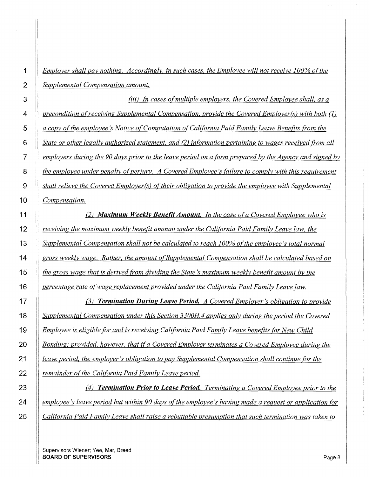*Emplover shall pay nothing. Accordingly, in such cases, the Employee will not receive 100% o(the Supplemental Compensation amount.* 

*(iii) In cases of multiple employers, the Covered Employee shall, as a precondition ofreceiving Supplemental Compensation, provide the Covered Employer{s) with both* {l) *a copy ofthe employee's Notice of Computation of California Paid Family Leave Benefits from the State or other legally authorized statement, and* (2) *information pertaining to wages received from all employers during the 90 days prior to the leave period on a form prepared by the Agency and signed by l the employee under penalty of perjury. A Covered Employee's failure to comply with this requirement shall relieve the Covered Employer{s) of their obligation to provide the employee with Supplemental Compensation.* 

(2) *Maximum Weekly Benefit Amount. In the case ofa Covered Employee who is receiving the maximum weekly benefit amount under the California Paid Family Leave law, the Supplemental Compensation shall not be calculated to reach 100% of the employee's total normal gross weekly wage. Rather, the amount of Supplemental Compensation shall be calculated based on the gross wage that is derived from dividing the State's maximum weekly benefit amount by the percentage rate of wage replacement provided under the California Paid Family Leave law.* 

*(3) Termination During Leave Period. A Covered Employer's obligation to provide Supplemental Compensation under this Section 3300H4 applies only during the period the Covered Employee is eligible [or and is receiving California Paid Family Leave benefits [or New Child Bonding; provided, however, that if a Covered Employer terminates a Covered Employee during the leave period, the employer's obligation to pay Supplemental Compensation shall continue [or the remainder ofthe California Paid Family Leave period.* 

(4) *Termination Prior to Leave Period. Terminating a Covered Employee prior to the employee's leave period but within 90 days of the employee's having made a request or application for California Paid Family Leave shall raise a rebuttable presumption that such termination was taken to*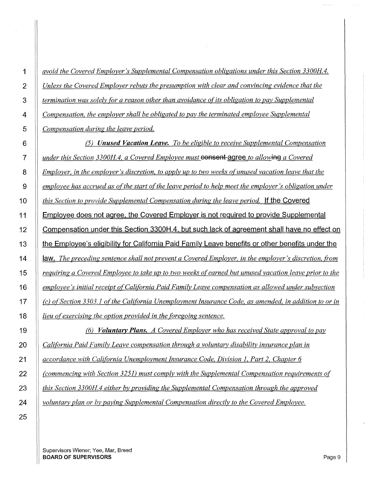*avoid the Covered Employer's Supplemental Compensation obligations under this Section 3300H4. Unless the Covered Employer rebuts the presumption with clear and convincing evidence that the termination was solely for a reason other than avoidance of its obligation to pay Supplemental Compensation, the employer shall be obligated to pay the terminated employee Supplemental Compensation during the leave period.* 

(5) *Unused Vacation Leave. To be eligible to receive Supplemental Compensation ll under this Section 3300H.4, a Covered Employee must consent agree to allowing a Covered Employer, in the employer's discretion, to apply up to two weeks of unused vacation leave that the employee has accrued as of the start of the leave period to help meet the employer's obligation under this Section to provide Supplemental Compensation during the leave period.* **If the Covered 11 Employee does not agree. the Covered Employer is not required to provide Supplemental 12 Compensation under this Section 3300H.4. but such lack of agreement shall have no effect on 13 the Employee's eligibility for California Paid Family Leave benefits or other benefits under the 14 law.** *The preceding sentence shall not prevent a Covered Employer, in the employer's discretion. from requiring a Covered Employee to take up to two weeks of earned but unused vacation leave prior to the employee's initial receipt of California Paid Family Leave compensation as allowed under subsection (c) of Section 3303.1 of the California Unemployment Insurance Code, as amended, in addition to or in lieu of exercising the option provided in the foregoing sentence.* 

*(6) Voluntary Plans. A Covered Employer who has received State approval to pay California Paid Family Leave compensation through a voluntary disability insurance plan in accordance with California Unemployment Insurance Code, Division 1. Part 2. Chapter 6 (commencing with Section 3251) must comply with the Supplemental Compensation requirements of this Section 3300H4 either by providing the Supplemental Compensation through the approved voluntary plan or by paying Supplemental Compensation directly to the Covered Employee.*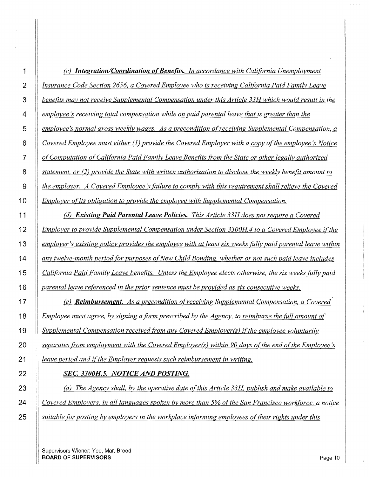|                | <b>Integration/Coordination of Benefits.</b> In accordance with California Unemployment                   |
|----------------|-----------------------------------------------------------------------------------------------------------|
| 2              | Insurance Code Section 2656, a Covered Employee who is receiving California Paid Family Leave             |
| $\mathbf{3}$   | benefits may not receive Supplemental Compensation under this Article 33H which would result in the       |
| $\overline{4}$ | employee's receiving total compensation while on paid parental leave that is greater than the             |
| 5              | employee's normal gross weekly wages. As a precondition of receiving Supplemental Compensation, a         |
| 6              | Covered Employee must either (1) provide the Covered Employer with a copy of the employee's Notice        |
| $\overline{7}$ | of Computation of California Paid Family Leave Benefits from the State or other legally authorized        |
| 8              | statement, or $(2)$ provide the State with written authorization to disclose the weekly benefit amount to |
| 9              | the employer. A Covered Employee's failure to comply with this requirement shall relieve the Covered      |
| 10             | <i>Employer of its obligation to provide the employee with Supplemental Compensation.</i>                 |

*(d) Existing Paid Parental Leave Policies. This Article 33H does not require a Covered Employer to provide Supplemental Compensation under Section 3300H4 to a Covered Employee ifthe employer's existing policy provides the employee with at least six weeks fitlly paid parental leave within any twelve-month period for purposes of New Child Bonding. whether or not such paid leave includes California Paid Family Leave benefits. Unless the Employee elects otherwise, the six weeks fitlly paid parental leave referenced in the prior sentence must be provided as six consecutive weeks.* 

*(e) Reimbursement. As a precondition of receiving Supplemental Compensation. a Covered Employee must agree, by signing a form prescribed by the Agency, to reimburse the fitll amount of Supplemental Compensation received from any Covered Employer(s) ifthe employee voluntarily separates from employment with the Covered Employer(s) within 90 days of the end of the Employee's leave period and ifthe Employer requests such reimbursement in writing.* 

#### *SEC. 3300H.5. NOTICE AND POSTING.*

*(a) The Agency shall, by the operative date of this Article 33H, publish and make available to Covered Employers. in all languages spoken by more than 5% of the San Francisco workforce, a notice suitable for posting by employers in the workplace informing employees oftheir rights under this*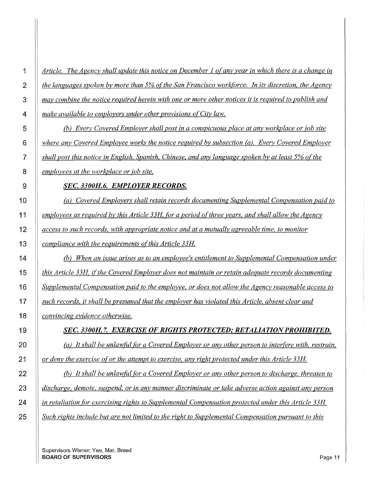*Article. The Agency shall update this notice on December 1 of any year in which there is a change in the languages spoken by more than 5% of the San Francisco workforce. In its discretion, the Agency may combine the notice required herein with one or more other notices it is required to publish and make available to employers under other provisions of City law.* 

*(b) Every Covered Employer shall post in a conspicuous place at any workplace or job site where any Covered Employee works the notice required by subsection (a). Every Covered Employer shall post this notice in English, Spanish, Chinese, and any language spoken by at least 5% of the*  **employees at the workplace or job site.** 

#### *SEC. 3300H.6. EMPLOYER RECORDS.*

*(a) Covered Employers shall retain records documenting Supplemental Compensation paid to employees as required by this Article 33H. for a period ofthree years, and shall allow the Agency access to such records, with appropriate notice and at a mutually agreeable time, to monitor compliance with the requirements of this Article 33H* 

*(b) When an issue arises as to an employee's entitlement to Supplemental Compensation under this Article 33H. ifthe Covered Employer does not maintain or retain adequate records documenting Supplemental Compensation paid to the employee, or does not allow the Agency reasonable access to such records,* it *shall be presumed that the employer has violated this Article, absent clear and convincing evidence otherwise.* 

# *SEC. 3300H.* **7.** *EXERCISE OF RIGHTS PROTECTED,· RETALIATION PROHIBITED.*

*(a) It shall be unlawful tor a Covered Employer or any other person to interfere with, restrain, or deny the exercise of or the attempt to exercise, any right protected under this Article 33H* 

*(b) It shall be unlawfitl for a Covered Employer or any other person to discharge, threaten to discharge, demote, suspend, or in any manner discriminate or take adverse action against any person in retaliation for exercising rights to Supplemental Compensation protected under this Article 33H Such rights include but are not limited to the right to Supplemental Compensation pursuant to this* 

Supervisors Wiener; Yee, Mar, Breed **BOARD OF SUPERVISORS Page 11**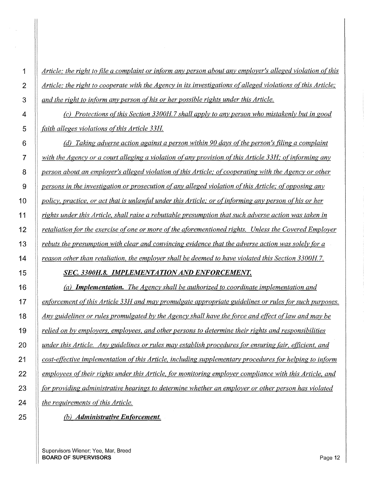*Article; the right to file a complaint or inform anv person about anv employer's alleged violation of this*  2 <sup>*Article; the right to cooperate with the Agency in its investigations of alleged violations of this Article;*</sup> *and the right to inform any person of his or her possible rights under this Article.* 

*(c) Protections ofthis Section 3300H.* 7 *shall apply to any person who mistakenly but in good faith alleges violations ofthis Article 33H.* 

**(d)** Taking adverse action against a person within 90 days of the person's filing a complaint *with the Agency or a court alleging a violation of any provision ofthis Article 33H; ofin(orming any person about an employer's alleged violation of this Article; of cooperating with the Agency or other persons in the investigation or prosecution of any alleged violation of this Article; of opposing any policy, practice, or act that is unlawful under this Article; or of informing any person of his or her rights under this Article. shall raise a rebuttable presumption that such adverse action was taken in retaliation for the exercise of one or more of the aforementioned rights. Unless the Covered Employer rebuts the presumption with clear and convincing evidence that the adverse action was solely for a reason other than retaliation. the employer shall be deemed to have violated this Section 3 3 OOH.* 7.

### *SEC. 3300H.8. IMPLEMENTATION AND ENFORCEMENT.*

*(a) Implementation. The Agency shall be authorized to coordinate implementation and enforcement ofthis Article 33H and may promulgate appropriate guidelines or rules (or such purposes. Any guidelines or rules promulgated by the Agency shall have the force and effect oflaw and may be relied on by employers. employees, and other persons to determine their rights and responsibilities under this Article. Any guidelines or rules may establish procedures (or ensuring fair, efficient. and cost-effective implementation of this Article, including supplementary procedures (or helping to inform employees oftheir rights under this Article, (or monitoring employer compliance with this Article, and hr providing administrative hearings to determine whether an employer or other person has violated the requirements ofthis Article.*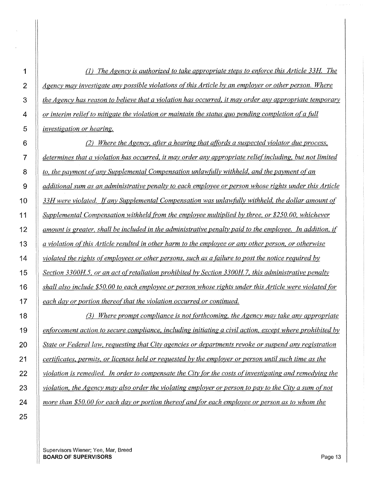(1) *The Agency is authorized to take appropriate steps to enforce this Article 33H The*  2 <sup>*Agency may investigate any possible violations of this Article by an employer or other person. Where*</sup> *the Agency has reason to believe that a violation has occurred. it may order any appropriate temporary or interim reliefto mitigate the violation or maintain the status quo pending completion of a fitll investigation or hearing.* 

*(2) Where the Agency, after a hearing that affords a suspected violator due process, determines that a violation has occurred, it may order any appropriate reliefincluding, but not limited to, the payment of any Supplemental Compensation unlawfully withheld. and the payment of an additional sum as an administrative penalty to each employee or person whose rights under this Article 33H were violated.* If *any Supplemental Compensation was unlawfitlly withheld. the dollar amount of Supplemental Compensation withheld from the employee multiplied by three, or \$250.00, whichever amount is greater, shall be included in the administrative penaltv paid to the employee. In addition, if a violation of this Article resulted in other harm to the employee or any other person. or otherwise violated the rights of employees or other persons. such as a tailure to post the notice required by Section 3300H5, or an act of retaliation prohibited by Section 3300H* 7, *this administrative penalty shall also include \$50.00 to each employee or person whose rights under this Article were violated for each day or portion thereof that the violation occurred or continued.* 

(3) *Where prompt compliance is not forthcoming. the Agency may take any appropriate enforcement action to secure compliance, including initiating a civil action, except where prohibited by State or Federal law. requesting that City agencies or departments revoke or suspend any registration certificates, permits, or licenses held or requested by the employer or person until such time as the violation is remedied. In order to compensate the City for the costs of investigating and remedying the violation, the Agency may also order the violating employer or person to pay to the City a sum of not more than \$50.00 for each day or portion thereofand (or each employee or person as to whom the*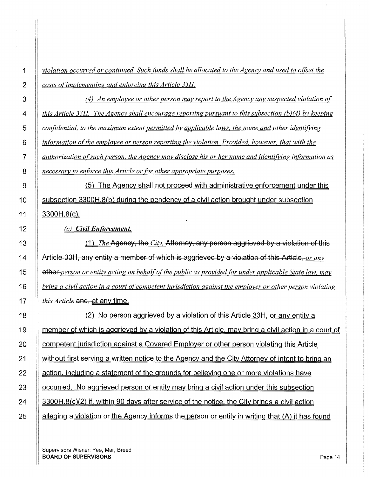1 *violation occurred or continued. Such fimds shall be allocated to the Agency and used to offeet the*  2 *costs ofimplementing and enforcing this Article 33H* 

*(4) An employee or other person may report to the Agency any suspected violation of this Article 33H The Agency shall encourage reporting pursuant to this subsection (b)(4) by keeping confidential. to the maximum extent permitted by applicable laws. the name and other identifj;ing information of the employee or person reporting the violation. Provided, however, that with the authorization of such person. the Agency may disclose his or her name and identifj;ing information as necessary to enforce this Article or for other appropriate purposes.* 

9 (5) The Agency shall not proceed with administrative enforcement under this 10 Subsection 3300H.8(b) during the pendency of a civil action brought under subsection 11  $\parallel$  3300H.8(c).

12 *(c) Civil Enforcement.* 

13 (1) *The Agency, the City, Attorney, any person aggrieved by a violation of this* 14 **Article 33H, any entity a member of which is aggrieved by a violation of this Article,** *or any* 15 other *person or entity acting on behalf ofthe public as provided for under applicable State law. may*  16 *bring a civil action in a court of competent jurisdiction against the employer or other person violating*  17 *this Article* and, at any time.

18 (2) No person aggrieved by a violation of this Article 33H. or any entity a 19 | member of which is aggrieved by a violation of this Article, may bring a civil action in a court of 20 **competent jurisdiction against a Covered Employer or other person violating this Article** 21 | without first serving a written notice to the Agency and the City Attorney of intent to bring an 22  $\parallel$  action, including a statement of the grounds for believing one or more violations have 23 Cocurred. No aggrieved person or entity may bring a civil action under this subsection 24  $\parallel$  3300H.8(c)(2) if, within 90 days after service of the notice, the City brings a civil action 25  $\parallel$  alleging a violation or the Agency informs the person or entity in writing that (A) it has found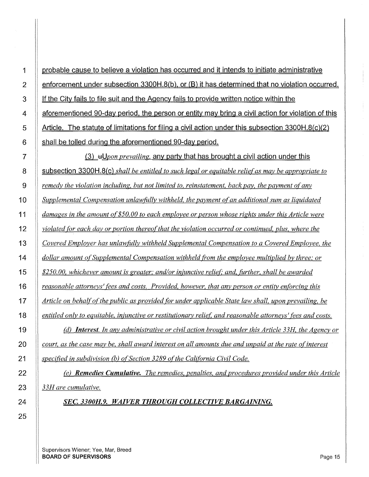**probable cause to believe a violation has occurred and it intends to initiate administrative enforcement under subsection 3300H.8(b). or (8) it has determined that no violation occurred. If the City fails to file suit and the Agency fails to provide written notice within the aforementioned 90-day period. the person or entity may bring a civil action for violation of this Article. The statute of limitations for filing a civil action under this subsection 3300H.8(c)(2) shall be tolled during the aforementioned 90-day period.** 

*Q,L-H!Jpon prevailing.* **any party that has brought a civil action under this subsection 3300H.8(c)** *shall be entitled to such legal or equitable relief as may be appropriate to remedy the violation including, but not limited to, reinstatement, back pay, the payment of any Supplemental Compensation unlawfully withheld, the payment of an additional sum as liquidated damages in the amount of\$50.00 to each employee or person whose rights under this Article were violated for each day or portion thereofthat the violation occurred or continued, plus, where the Covered Employer has unlawfitlly withheld Supplemental Compensation to a Covered Employee, the dollar amount of Supplemental Compensation withheld from the employee multiplied by three; or \$250.00, whichever amount is greater; and/or injunctive reliet and, further, shall be awarded reasonable attorneys' fees and costs. Provided, however, that any person or entity enforcing this Article on behalf of the public as provided (or under applicable State law shall, upon prevailing. be entitled only to equitable, injunctive or restitutionary relief, and reasonable attorneys' fees and costs. (d) Interest. In any administrative or civil action brought under this Article 33H, the Agency or court, as the case may be, shall award interest on all amounts due and unpaid at the rate ofinterest* 

*specified in subdivision (b) of Section 3289 of the California Civil Code.* 

*(e) Remedies Cumulative. The remedies, penalties, and procedures provided under this Article 33H are cumulative.* 

*SEC. 3300H.9. WAIVER THROUGH COLLECTIVE BARGAINING.* 

Supervisors Wiener; Yee, Mar, Breed **BOARD OF SUPERVISORS** Page 15

**1** 

2

3

**4** 

**5** 

**6** 

**7** 

**8** 

**9** 

**10** 

**11** 

**12** 

**13** 

**14** 

**15** 

**16** 

**17** 

**18** 

**19** 

**20** 

**21** 

I

I

**22** 

**23** 

**24** 

**25**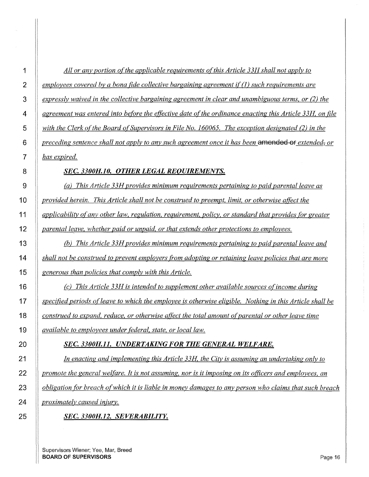*All or any portion of the applicable requirements ofthis Article 33H shall not apply to employees covered by a bona fide collective bargaining agreement if* (1) *such requirements are expressly waived in the collective bargaining agreement in clear and unambiguous terms. or (2) the agreement was entered into before the effective date ofthe ordinance enacting this Article 33H, on tile with the Clerk of the Board of Supervisors in File No. 160065. The exception designated (2) in the preceding sentence shall not apply to any such agreement once* it *has been* **amended** or *extended, or* 

## *SEC. 3300H.10. OTHER LEGAL REQUIREMENTS.*

*(a) This Article 33H provides minimum requirements pertaining to paid parental leave as provided herein. This Article shall not be construed to preempt, limit. or otherwise affect the applicability of any other law. regulation. requirement. policy, or standard that provides for greater parental leave, whether paid or unpaid, or that extends other protections to employees.* 

{b) *This Article 3 3H provides minimum requirements pertaining to paid parental leave and shall not be construed to prevent employers from adopting or retaining leave policies that are more generous than policies that comply with this Article.* 

*(c) This Article 33H is intended to supplement other available sources ofincome during specified periods of'leave to which the employee is otherwise eligible. Nothing in this Article shall be construed to expand, reduce, or otherwise affect the total amount of parental or other leave time available to employees under federal, state, or local law.* 

## *SEC. 3300H.11. UNDERTAKING FOR THE GENERAL WELFARE.*

*In enacting and implementing this Article 33H, the City is assuming an undertaking only to promote the general welfare. It is not assuming, nor is it imposing on its officers and employees, an*  $\overline{a}$ *obligation (or breach of which it is liable in money damages to any person who claims that such breach proximately caused injury.* 

*SEC. 3300H.12. SEVERABILITY.*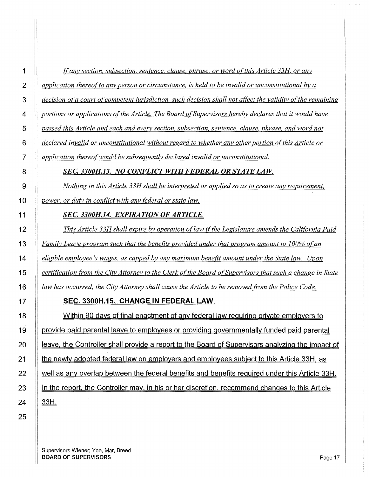*!(any section, subsection, sentence, clause, phrase, or word ofthis Article 33H. or any application thereof to any person or circumstance, is held to be invalid or unconstitutional by a decision ofa court of competent jurisdiction, such decision shall not affect the validity of the remaining portions or applications ofthe Article. The Board of Supervisors hereby declares that it would have passed this Article and each and every section, subsection, sentence, clause, phrase, and word not declared invalid or unconstitutional without regard to whether any other portion of this Article or application thereof would be subsequently declared invalid or unconstitutional.* 

## **SEC. 3300H.13. NO CONFLICT WITH FEDERAL OR STATE LAW.**

*Nothing in this Article 33H shall be interpreted or applied so as to create any requirement, power, or duty in conflict with any federal or state law.* 

## *SEC. 3300H.14. EXPIRATION OF ARTICLE.*

**This Article 33H shall expire by operation of law if the Legislature amends the California Paid** *Family Leave program such that the benefits provided under that program amount to 100% of an eligible employee's wages, as capped by any maximum benefit amount under the State law. Upon certification from the City Attorney to the Clerk o(the Board of Supervisors that such a change in State law has occurred, the City Attorney shall cause the Article to be removed from the Police Code.* 

## **SEC. 3300H.15. CHANGE IN FEDERAL LAW.**

18 Within 90 days of final enactment of any federal law requiring private employers to **provide paid parental leave to employees or providing governmentally funded paid parental** 20 | Leave, the Controller shall provide a report to the Board of Supervisors analyzing the impact of **the newly adopted federal law on employers and employees subject to this Article 33H, as** 22 Well as any overlap between the federal benefits and benefits required under this Article 33H. 23 In the report, the Controller may, in his or her discretion, recommend changes to this Article |  $33H$ .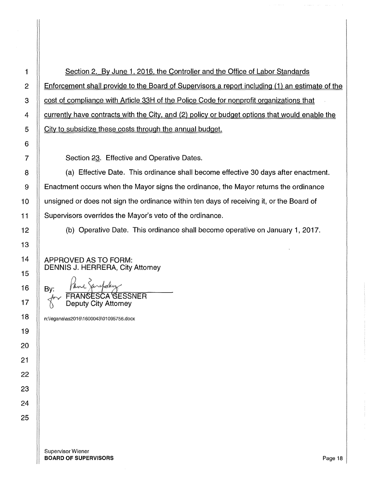1 Section 2. By June 1, 2016, the Controller and the Office of Labor Standards 2 Enforcement shall provide to the Board of Supervisors a report including (1) an estimate of the 3 Cost of compliance with Article 33H of the Police Code for nonprofit organizations that 4 **Franch is vertet as a contracts with the City, and (2) policy or budget options that would enable the**  $5$   $\parallel$  City to subsidize these costs through the annual budget.

7 | Section 23. Effective and Operative Dates.

8 (a) Effective Date. This ordinance shall become effective 30 days after enactment. 9 **Enactment occurs when the Mayor signs the ordinance, the Mayor returns the ordinance**  $10$   $\parallel$  unsigned or does not sign the ordinance within ten days of receiving it, or the Board of 11 | Supervisors overrides the Mayor's veto of the ordinance.

12 (b) Operative Date. This ordinance shall become operative on January 1, 2017.

APPROVED AS TO FORM: DENNIS J. HERRERA, City Attorney

By: Paul Janepoky Paul Zarephy Deputy City Attorney

n:\legana\as2016\ 1600043\01095756.docx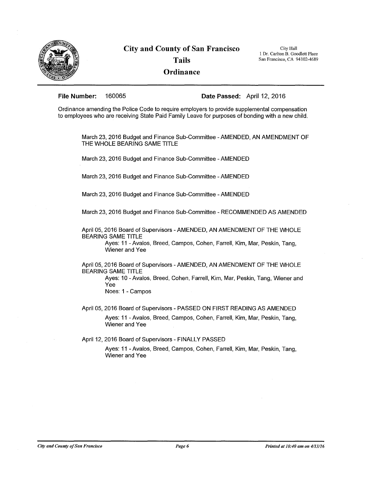

City Hall 1 Dr. Carlton B. Goodlett Place San Francisco, CA 94102-4689

**File Number:** 160065 **Date Passed:** April 12, 2016

Ordinance amending the Police Code to require employers to provide supplemental compensation to employees who are receiving State Paid Family Leave for purposes of bonding with a new child.

March 23, 2016 Budget and Finance Sub-Committee -AMENDED, AN AMENDMENT OF THE WHOLE BEARING SAME TITLE

March 23, 2016 Budget and Finance Sub-Committee - AMENDED

March 23, 2016 Budget and Finance Sub-Committee -AMENDED

March 23, 2016 Budget and Finance Sub-Committee - AMENDED

March 23, 2016 Budget and Finance Sub-Committee - RECOMMENDED AS AMENDED

April 05, 2016 Board of Supervisors - AMENDED, AN AMENDMENT OF THE WHOLE BEARING SAME TITLE

> Ayes: 11 -Avalos, Breed, Campos, Cohen, Farrell, Kim, Mar, Peskin, Tang, Wiener and Yee

April 05, 2016 Board of Supervisors -AMENDED, AN AMENDMENT OF THE WHOLE BEARING SAME TITLE

> Ayes: 10 - Avalos, Breed, Cohen, Farrell, Kim, Mar, Peskin, Tang, Wiener and Yee

Noes: 1 - Campos

April 05, 2016 Board of Supervisors - PASSED ON FIRST READING AS AMENDED Ayes: 11 - Avalos, Breed, Campos, Cohen, Farrell, Kim, Mar, Peskin, Tang, Wiener and Yee

April 12, 2016 Board of Supervisors - FINALLY PASSED

Ayes: 11 -Avalos, Breed, Campos, Cohen, Farrell, Kim, Mar, Peskin, Tang, Wiener and Yee